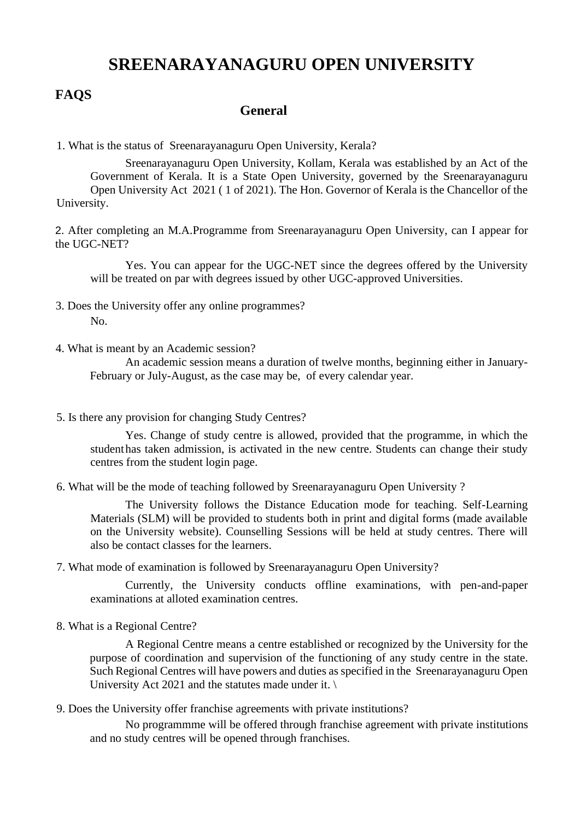## **SREENARAYANAGURU OPEN UNIVERSITY**

## **FAQS**

## **General**

1. What is the status of Sreenarayanaguru Open University, Kerala?

Sreenarayanaguru Open University, Kollam, Kerala was established by an Act of the Government of Kerala. It is a State Open University, governed by the Sreenarayanaguru Open University Act 2021 ( 1 of 2021). The Hon. Governor of Kerala is the Chancellor of the University.

2. After completing an M.A.Programme from Sreenarayanaguru Open University, can I appear for the UGC-NET?

Yes. You can appear for the UGC-NET since the degrees offered by the University will be treated on par with degrees issued by other UGC-approved Universities.

- 3. Does the University offer any online programmes?  $N<sub>0</sub>$
- 4. What is meant by an Academic session?

An academic session means a duration of twelve months, beginning either in January-February or July-August, as the case may be, of every calendar year.

5. Is there any provision for changing Study Centres?

Yes. Change of study centre is allowed, provided that the programme, in which the studenthas taken admission, is activated in the new centre. Students can change their study centres from the student login page.

6. What will be the mode of teaching followed by Sreenarayanaguru Open University ?

The University follows the Distance Education mode for teaching. Self-Learning Materials (SLM) will be provided to students both in print and digital forms (made available on the University website). Counselling Sessions will be held at study centres. There will also be contact classes for the learners.

7. What mode of examination is followed by Sreenarayanaguru Open University?

Currently, the University conducts offline examinations, with pen-and-paper examinations at alloted examination centres.

8. What is a Regional Centre?

A Regional Centre means a centre established or recognized by the University for the purpose of coordination and supervision of the functioning of any study centre in the state. Such Regional Centres will have powers and duties as specified in the Sreenarayanaguru Open University Act 2021 and the statutes made under it.  $\langle \rangle$ 

9. Does the University offer franchise agreements with private institutions?

No programmme will be offered through franchise agreement with private institutions and no study centres will be opened through franchises.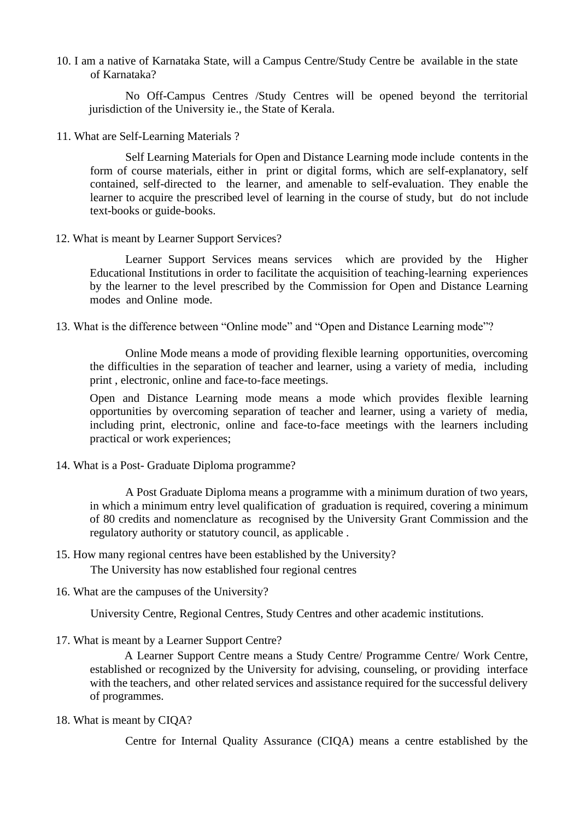10. I am a native of Karnataka State, will a Campus Centre/Study Centre be available in the state of Karnataka?

No Off-Campus Centres /Study Centres will be opened beyond the territorial jurisdiction of the University ie., the State of Kerala.

11. What are Self-Learning Materials ?

Self Learning Materials for Open and Distance Learning mode include contents in the form of course materials, either in print or digital forms, which are self-explanatory, self contained, self-directed to the learner, and amenable to self-evaluation. They enable the learner to acquire the prescribed level of learning in the course of study, but do not include text-books or guide-books.

12. What is meant by Learner Support Services?

Learner Support Services means services which are provided by the Higher Educational Institutions in order to facilitate the acquisition of teaching-learning experiences by the learner to the level prescribed by the Commission for Open and Distance Learning modes and Online mode.

13. What is the difference between "Online mode" and "Open and Distance Learning mode"?

Online Mode means a mode of providing flexible learning opportunities, overcoming the difficulties in the separation of teacher and learner, using a variety of media, including print , electronic, online and face-to-face meetings.

Open and Distance Learning mode means a mode which provides flexible learning opportunities by overcoming separation of teacher and learner, using a variety of media, including print, electronic, online and face-to-face meetings with the learners including practical or work experiences;

14. What is a Post- Graduate Diploma programme?

A Post Graduate Diploma means a programme with a minimum duration of two years, in which a minimum entry level qualification of graduation is required, covering a minimum of 80 credits and nomenclature as recognised by the University Grant Commission and the regulatory authority or statutory council, as applicable .

15. How many regional centres have been established by the University?

The University has now established four regional centres

16. What are the campuses of the University?

University Centre, Regional Centres, Study Centres and other academic institutions.

17. What is meant by a Learner Support Centre?

A Learner Support Centre means a Study Centre/ Programme Centre/ Work Centre, established or recognized by the University for advising, counseling, or providing interface with the teachers, and other related services and assistance required for the successful delivery of programmes.

18. What is meant by CIQA?

Centre for Internal Quality Assurance (CIQA) means a centre established by the